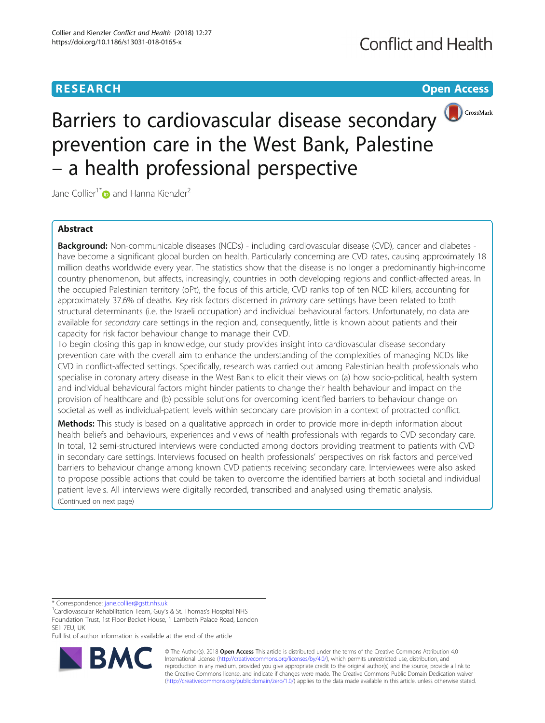# **RESEARCH CHINESE ARCH CHINESE ARCHITECT ARCHITECT ARCHITECT ARCHITECT ARCHITECT ARCHITECT ARCHITECT ARCHITECT ARCHITECT ARCHITECT ARCHITECT ARCHITECT ARCHITECT ARCHITECT ARCHITECT ARCHITECT ARCHITECT ARCHITECT ARCHITE**



# Barriers to cardiovascular disease secondary **D**CrossMark prevention care in the West Bank, Palestine – a health professional perspective

Jane Collier<sup>1[\\*](http://orcid.org/0000-0002-8097-2074)</sup> and Hanna Kienzler<sup>2</sup>

# Abstract

**Background:** Non-communicable diseases (NCDs) - including cardiovascular disease (CVD), cancer and diabetes have become a significant global burden on health. Particularly concerning are CVD rates, causing approximately 18 million deaths worldwide every year. The statistics show that the disease is no longer a predominantly high-income country phenomenon, but affects, increasingly, countries in both developing regions and conflict-affected areas. In the occupied Palestinian territory (oPt), the focus of this article, CVD ranks top of ten NCD killers, accounting for approximately 37.6% of deaths. Key risk factors discerned in *primary* care settings have been related to both structural determinants (i.e. the Israeli occupation) and individual behavioural factors. Unfortunately, no data are available for secondary care settings in the region and, consequently, little is known about patients and their capacity for risk factor behaviour change to manage their CVD.

To begin closing this gap in knowledge, our study provides insight into cardiovascular disease secondary prevention care with the overall aim to enhance the understanding of the complexities of managing NCDs like CVD in conflict-affected settings. Specifically, research was carried out among Palestinian health professionals who specialise in coronary artery disease in the West Bank to elicit their views on (a) how socio-political, health system and individual behavioural factors might hinder patients to change their health behaviour and impact on the provision of healthcare and (b) possible solutions for overcoming identified barriers to behaviour change on societal as well as individual-patient levels within secondary care provision in a context of protracted conflict.

Methods: This study is based on a qualitative approach in order to provide more in-depth information about health beliefs and behaviours, experiences and views of health professionals with regards to CVD secondary care. In total, 12 semi-structured interviews were conducted among doctors providing treatment to patients with CVD in secondary care settings. Interviews focused on health professionals' perspectives on risk factors and perceived barriers to behaviour change among known CVD patients receiving secondary care. Interviewees were also asked to propose possible actions that could be taken to overcome the identified barriers at both societal and individual patient levels. All interviews were digitally recorded, transcribed and analysed using thematic analysis. (Continued on next page)

\* Correspondence: [jane.collier@gstt.nhs.uk](mailto:jane.collier@gstt.nhs.uk) <sup>1</sup>

<sup>1</sup>Cardiovascular Rehabilitation Team, Guy's & St. Thomas's Hospital NHS Foundation Trust, 1st Floor Becket House, 1 Lambeth Palace Road, London SE1 7EU, UK

Full list of author information is available at the end of the article



© The Author(s). 2018 Open Access This article is distributed under the terms of the Creative Commons Attribution 4.0 International License [\(http://creativecommons.org/licenses/by/4.0/](http://creativecommons.org/licenses/by/4.0/)), which permits unrestricted use, distribution, and reproduction in any medium, provided you give appropriate credit to the original author(s) and the source, provide a link to the Creative Commons license, and indicate if changes were made. The Creative Commons Public Domain Dedication waiver [\(http://creativecommons.org/publicdomain/zero/1.0/](http://creativecommons.org/publicdomain/zero/1.0/)) applies to the data made available in this article, unless otherwise stated.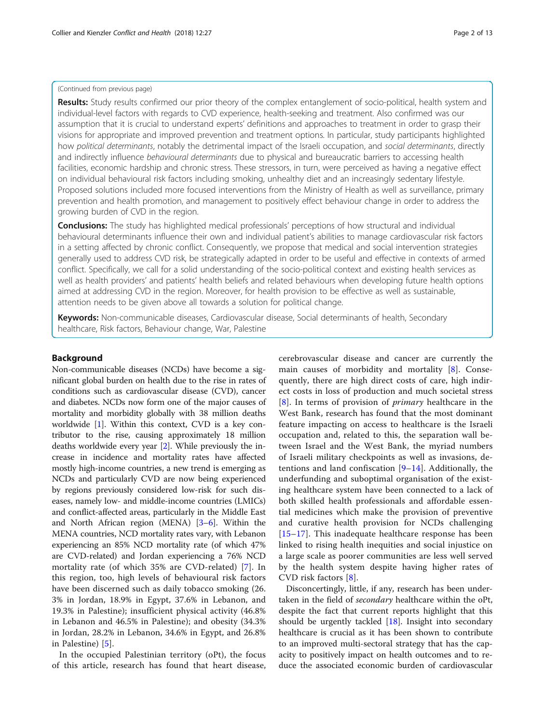## (Continued from previous page)

Results: Study results confirmed our prior theory of the complex entanglement of socio-political, health system and individual-level factors with regards to CVD experience, health-seeking and treatment. Also confirmed was our assumption that it is crucial to understand experts' definitions and approaches to treatment in order to grasp their visions for appropriate and improved prevention and treatment options. In particular, study participants highlighted how political determinants, notably the detrimental impact of the Israeli occupation, and social determinants, directly and indirectly influence behavioural determinants due to physical and bureaucratic barriers to accessing health facilities, economic hardship and chronic stress. These stressors, in turn, were perceived as having a negative effect on individual behavioural risk factors including smoking, unhealthy diet and an increasingly sedentary lifestyle. Proposed solutions included more focused interventions from the Ministry of Health as well as surveillance, primary prevention and health promotion, and management to positively effect behaviour change in order to address the growing burden of CVD in the region.

**Conclusions:** The study has highlighted medical professionals' perceptions of how structural and individual behavioural determinants influence their own and individual patient's abilities to manage cardiovascular risk factors in a setting affected by chronic conflict. Consequently, we propose that medical and social intervention strategies generally used to address CVD risk, be strategically adapted in order to be useful and effective in contexts of armed conflict. Specifically, we call for a solid understanding of the socio-political context and existing health services as well as health providers' and patients' health beliefs and related behaviours when developing future health options aimed at addressing CVD in the region. Moreover, for health provision to be effective as well as sustainable, attention needs to be given above all towards a solution for political change.

Keywords: Non-communicable diseases, Cardiovascular disease, Social determinants of health, Secondary healthcare, Risk factors, Behaviour change, War, Palestine

# Background

Non-communicable diseases (NCDs) have become a significant global burden on health due to the rise in rates of conditions such as cardiovascular disease (CVD), cancer and diabetes. NCDs now form one of the major causes of mortality and morbidity globally with 38 million deaths worldwide [\[1\]](#page-10-0). Within this context, CVD is a key contributor to the rise, causing approximately 18 million deaths worldwide every year [\[2\]](#page-10-0). While previously the increase in incidence and mortality rates have affected mostly high-income countries, a new trend is emerging as NCDs and particularly CVD are now being experienced by regions previously considered low-risk for such diseases, namely low- and middle-income countries (LMICs) and conflict-affected areas, particularly in the Middle East and North African region (MENA) [\[3](#page-10-0)–[6\]](#page-10-0). Within the MENA countries, NCD mortality rates vary, with Lebanon experiencing an 85% NCD mortality rate (of which 47% are CVD-related) and Jordan experiencing a 76% NCD mortality rate (of which 35% are CVD-related) [[7\]](#page-10-0). In this region, too, high levels of behavioural risk factors have been discerned such as daily tobacco smoking (26. 3% in Jordan, 18.9% in Egypt, 37.6% in Lebanon, and 19.3% in Palestine); insufficient physical activity (46.8% in Lebanon and 46.5% in Palestine); and obesity (34.3% in Jordan, 28.2% in Lebanon, 34.6% in Egypt, and 26.8% in Palestine) [\[5](#page-10-0)].

In the occupied Palestinian territory (oPt), the focus of this article, research has found that heart disease, cerebrovascular disease and cancer are currently the main causes of morbidity and mortality [[8\]](#page-10-0). Consequently, there are high direct costs of care, high indirect costs in loss of production and much societal stress [[8\]](#page-10-0). In terms of provision of primary healthcare in the West Bank, research has found that the most dominant feature impacting on access to healthcare is the Israeli occupation and, related to this, the separation wall between Israel and the West Bank, the myriad numbers of Israeli military checkpoints as well as invasions, detentions and land confiscation [[9](#page-10-0)–[14\]](#page-10-0). Additionally, the underfunding and suboptimal organisation of the existing healthcare system have been connected to a lack of both skilled health professionals and affordable essential medicines which make the provision of preventive and curative health provision for NCDs challenging [[15](#page-10-0)–[17\]](#page-10-0). This inadequate healthcare response has been linked to rising health inequities and social injustice on a large scale as poorer communities are less well served by the health system despite having higher rates of CVD risk factors [\[8](#page-10-0)].

Disconcertingly, little, if any, research has been undertaken in the field of *secondary* healthcare within the oPt, despite the fact that current reports highlight that this should be urgently tackled  $[18]$  $[18]$ . Insight into secondary healthcare is crucial as it has been shown to contribute to an improved multi-sectoral strategy that has the capacity to positively impact on health outcomes and to reduce the associated economic burden of cardiovascular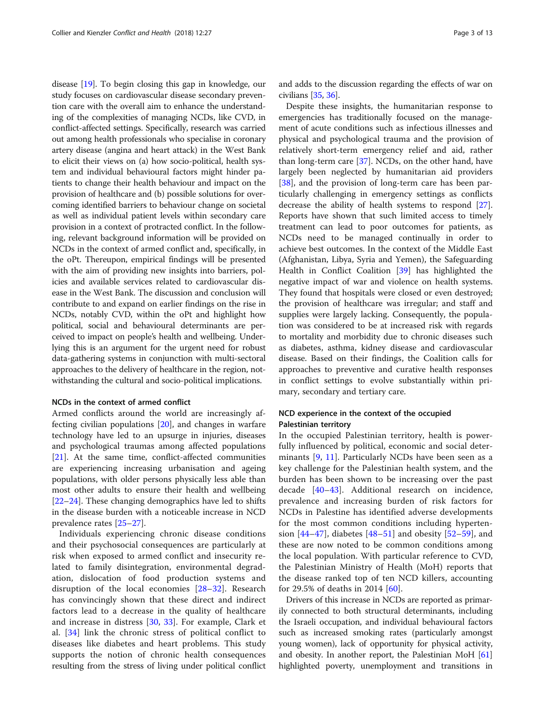disease [\[19\]](#page-10-0). To begin closing this gap in knowledge, our study focuses on cardiovascular disease secondary prevention care with the overall aim to enhance the understanding of the complexities of managing NCDs, like CVD, in conflict-affected settings. Specifically, research was carried out among health professionals who specialise in coronary artery disease (angina and heart attack) in the West Bank to elicit their views on (a) how socio-political, health system and individual behavioural factors might hinder patients to change their health behaviour and impact on the provision of healthcare and (b) possible solutions for overcoming identified barriers to behaviour change on societal as well as individual patient levels within secondary care provision in a context of protracted conflict. In the following, relevant background information will be provided on NCDs in the context of armed conflict and, specifically, in the oPt. Thereupon, empirical findings will be presented with the aim of providing new insights into barriers, policies and available services related to cardiovascular disease in the West Bank. The discussion and conclusion will contribute to and expand on earlier findings on the rise in NCDs, notably CVD, within the oPt and highlight how political, social and behavioural determinants are perceived to impact on people's health and wellbeing. Underlying this is an argument for the urgent need for robust data-gathering systems in conjunction with multi-sectoral approaches to the delivery of healthcare in the region, notwithstanding the cultural and socio-political implications.

#### NCDs in the context of armed conflict

Armed conflicts around the world are increasingly affecting civilian populations [\[20\]](#page-10-0), and changes in warfare technology have led to an upsurge in injuries, diseases and psychological traumas among affected populations [[21\]](#page-10-0). At the same time, conflict-affected communities are experiencing increasing urbanisation and ageing populations, with older persons physically less able than most other adults to ensure their health and wellbeing [[22](#page-10-0)–[24](#page-10-0)]. These changing demographics have led to shifts in the disease burden with a noticeable increase in NCD prevalence rates [[25](#page-10-0)–[27](#page-11-0)].

Individuals experiencing chronic disease conditions and their psychosocial consequences are particularly at risk when exposed to armed conflict and insecurity related to family disintegration, environmental degradation, dislocation of food production systems and disruption of the local economies [\[28](#page-11-0)–[32](#page-11-0)]. Research has convincingly shown that these direct and indirect factors lead to a decrease in the quality of healthcare and increase in distress [[30](#page-11-0), [33](#page-11-0)]. For example, Clark et al. [\[34](#page-11-0)] link the chronic stress of political conflict to diseases like diabetes and heart problems. This study supports the notion of chronic health consequences resulting from the stress of living under political conflict

and adds to the discussion regarding the effects of war on civilians [\[35](#page-11-0), [36](#page-11-0)].

Despite these insights, the humanitarian response to emergencies has traditionally focused on the management of acute conditions such as infectious illnesses and physical and psychological trauma and the provision of relatively short-term emergency relief and aid, rather than long-term care [[37](#page-11-0)]. NCDs, on the other hand, have largely been neglected by humanitarian aid providers [[38\]](#page-11-0), and the provision of long-term care has been particularly challenging in emergency settings as conflicts decrease the ability of health systems to respond [\[27](#page-11-0)]. Reports have shown that such limited access to timely treatment can lead to poor outcomes for patients, as NCDs need to be managed continually in order to achieve best outcomes. In the context of the Middle East (Afghanistan, Libya, Syria and Yemen), the Safeguarding Health in Conflict Coalition [\[39](#page-11-0)] has highlighted the negative impact of war and violence on health systems. They found that hospitals were closed or even destroyed; the provision of healthcare was irregular; and staff and supplies were largely lacking. Consequently, the population was considered to be at increased risk with regards to mortality and morbidity due to chronic diseases such as diabetes, asthma, kidney disease and cardiovascular disease. Based on their findings, the Coalition calls for approaches to preventive and curative health responses in conflict settings to evolve substantially within primary, secondary and tertiary care.

# NCD experience in the context of the occupied Palestinian territory

In the occupied Palestinian territory, health is powerfully influenced by political, economic and social deter-minants [\[9](#page-10-0), [11\]](#page-10-0). Particularly NCDs have been seen as a key challenge for the Palestinian health system, and the burden has been shown to be increasing over the past decade [\[40](#page-11-0)–[43](#page-11-0)]. Additional research on incidence, prevalence and increasing burden of risk factors for NCDs in Palestine has identified adverse developments for the most common conditions including hypertension  $[44-47]$  $[44-47]$  $[44-47]$  $[44-47]$ , diabetes  $[48-51]$  $[48-51]$  $[48-51]$  $[48-51]$  and obesity  $[52-59]$  $[52-59]$  $[52-59]$  $[52-59]$ , and these are now noted to be common conditions among the local population. With particular reference to CVD, the Palestinian Ministry of Health (MoH) reports that the disease ranked top of ten NCD killers, accounting for 29.5% of deaths in 2014  $[60]$  $[60]$ .

Drivers of this increase in NCDs are reported as primarily connected to both structural determinants, including the Israeli occupation, and individual behavioural factors such as increased smoking rates (particularly amongst young women), lack of opportunity for physical activity, and obesity. In another report, the Palestinian MoH [[61](#page-11-0)] highlighted poverty, unemployment and transitions in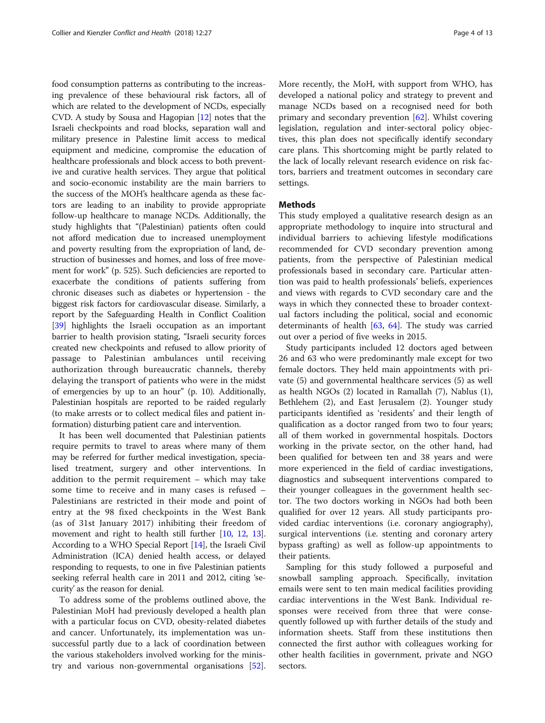food consumption patterns as contributing to the increasing prevalence of these behavioural risk factors, all of which are related to the development of NCDs, especially CVD. A study by Sousa and Hagopian [[12](#page-10-0)] notes that the Israeli checkpoints and road blocks, separation wall and military presence in Palestine limit access to medical equipment and medicine, compromise the education of healthcare professionals and block access to both preventive and curative health services. They argue that political and socio-economic instability are the main barriers to the success of the MOH's healthcare agenda as these factors are leading to an inability to provide appropriate follow-up healthcare to manage NCDs. Additionally, the study highlights that "(Palestinian) patients often could not afford medication due to increased unemployment and poverty resulting from the expropriation of land, destruction of businesses and homes, and loss of free movement for work" (p. 525). Such deficiencies are reported to exacerbate the conditions of patients suffering from chronic diseases such as diabetes or hypertension - the biggest risk factors for cardiovascular disease. Similarly, a report by the Safeguarding Health in Conflict Coalition [[39](#page-11-0)] highlights the Israeli occupation as an important barrier to health provision stating, "Israeli security forces created new checkpoints and refused to allow priority of passage to Palestinian ambulances until receiving authorization through bureaucratic channels, thereby delaying the transport of patients who were in the midst of emergencies by up to an hour" (p. 10). Additionally, Palestinian hospitals are reported to be raided regularly (to make arrests or to collect medical files and patient information) disturbing patient care and intervention.

It has been well documented that Palestinian patients require permits to travel to areas where many of them may be referred for further medical investigation, specialised treatment, surgery and other interventions. In addition to the permit requirement – which may take some time to receive and in many cases is refused – Palestinians are restricted in their mode and point of entry at the 98 fixed checkpoints in the West Bank (as of 31st January 2017) inhibiting their freedom of movement and right to health still further [\[10,](#page-10-0) [12](#page-10-0), [13](#page-10-0)]. According to a WHO Special Report [[14](#page-10-0)], the Israeli Civil Administration (ICA) denied health access, or delayed responding to requests, to one in five Palestinian patients seeking referral health care in 2011 and 2012, citing 'security' as the reason for denial.

To address some of the problems outlined above, the Palestinian MoH had previously developed a health plan with a particular focus on CVD, obesity-related diabetes and cancer. Unfortunately, its implementation was unsuccessful partly due to a lack of coordination between the various stakeholders involved working for the ministry and various non-governmental organisations [\[52](#page-11-0)]. More recently, the MoH, with support from WHO, has developed a national policy and strategy to prevent and manage NCDs based on a recognised need for both primary and secondary prevention  $[62]$  $[62]$ . Whilst covering legislation, regulation and inter-sectoral policy objectives, this plan does not specifically identify secondary care plans. This shortcoming might be partly related to the lack of locally relevant research evidence on risk factors, barriers and treatment outcomes in secondary care settings.

# Methods

This study employed a qualitative research design as an appropriate methodology to inquire into structural and individual barriers to achieving lifestyle modifications recommended for CVD secondary prevention among patients, from the perspective of Palestinian medical professionals based in secondary care. Particular attention was paid to health professionals' beliefs, experiences and views with regards to CVD secondary care and the ways in which they connected these to broader contextual factors including the political, social and economic determinants of health  $[63, 64]$  $[63, 64]$  $[63, 64]$  $[63, 64]$ . The study was carried out over a period of five weeks in 2015.

Study participants included 12 doctors aged between 26 and 63 who were predominantly male except for two female doctors. They held main appointments with private (5) and governmental healthcare services (5) as well as health NGOs (2) located in Ramallah (7), Nablus (1), Bethlehem (2), and East Jerusalem (2). Younger study participants identified as 'residents' and their length of qualification as a doctor ranged from two to four years; all of them worked in governmental hospitals. Doctors working in the private sector, on the other hand, had been qualified for between ten and 38 years and were more experienced in the field of cardiac investigations, diagnostics and subsequent interventions compared to their younger colleagues in the government health sector. The two doctors working in NGOs had both been qualified for over 12 years. All study participants provided cardiac interventions (i.e. coronary angiography), surgical interventions (i.e. stenting and coronary artery bypass grafting) as well as follow-up appointments to their patients.

Sampling for this study followed a purposeful and snowball sampling approach. Specifically, invitation emails were sent to ten main medical facilities providing cardiac interventions in the West Bank. Individual responses were received from three that were consequently followed up with further details of the study and information sheets. Staff from these institutions then connected the first author with colleagues working for other health facilities in government, private and NGO sectors.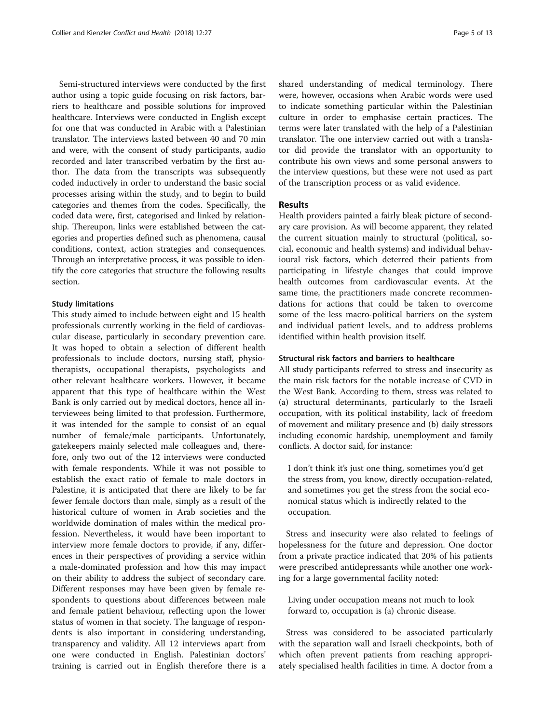Semi-structured interviews were conducted by the first author using a topic guide focusing on risk factors, barriers to healthcare and possible solutions for improved healthcare. Interviews were conducted in English except for one that was conducted in Arabic with a Palestinian translator. The interviews lasted between 40 and 70 min and were, with the consent of study participants, audio recorded and later transcribed verbatim by the first author. The data from the transcripts was subsequently coded inductively in order to understand the basic social processes arising within the study, and to begin to build categories and themes from the codes. Specifically, the coded data were, first, categorised and linked by relationship. Thereupon, links were established between the categories and properties defined such as phenomena, causal conditions, context, action strategies and consequences. Through an interpretative process, it was possible to identify the core categories that structure the following results section.

# Study limitations

This study aimed to include between eight and 15 health professionals currently working in the field of cardiovascular disease, particularly in secondary prevention care. It was hoped to obtain a selection of different health professionals to include doctors, nursing staff, physiotherapists, occupational therapists, psychologists and other relevant healthcare workers. However, it became apparent that this type of healthcare within the West Bank is only carried out by medical doctors, hence all interviewees being limited to that profession. Furthermore, it was intended for the sample to consist of an equal number of female/male participants. Unfortunately, gatekeepers mainly selected male colleagues and, therefore, only two out of the 12 interviews were conducted with female respondents. While it was not possible to establish the exact ratio of female to male doctors in Palestine, it is anticipated that there are likely to be far fewer female doctors than male, simply as a result of the historical culture of women in Arab societies and the worldwide domination of males within the medical profession. Nevertheless, it would have been important to interview more female doctors to provide, if any, differences in their perspectives of providing a service within a male-dominated profession and how this may impact on their ability to address the subject of secondary care. Different responses may have been given by female respondents to questions about differences between male and female patient behaviour, reflecting upon the lower status of women in that society. The language of respondents is also important in considering understanding, transparency and validity. All 12 interviews apart from one were conducted in English. Palestinian doctors' training is carried out in English therefore there is a shared understanding of medical terminology. There were, however, occasions when Arabic words were used to indicate something particular within the Palestinian culture in order to emphasise certain practices. The terms were later translated with the help of a Palestinian translator. The one interview carried out with a translator did provide the translator with an opportunity to contribute his own views and some personal answers to the interview questions, but these were not used as part of the transcription process or as valid evidence.

# Results

Health providers painted a fairly bleak picture of secondary care provision. As will become apparent, they related the current situation mainly to structural (political, social, economic and health systems) and individual behavioural risk factors, which deterred their patients from participating in lifestyle changes that could improve health outcomes from cardiovascular events. At the same time, the practitioners made concrete recommendations for actions that could be taken to overcome some of the less macro-political barriers on the system and individual patient levels, and to address problems identified within health provision itself.

### Structural risk factors and barriers to healthcare

All study participants referred to stress and insecurity as the main risk factors for the notable increase of CVD in the West Bank. According to them, stress was related to (a) structural determinants, particularly to the Israeli occupation, with its political instability, lack of freedom of movement and military presence and (b) daily stressors including economic hardship, unemployment and family conflicts. A doctor said, for instance:

I don't think it's just one thing, sometimes you'd get the stress from, you know, directly occupation-related, and sometimes you get the stress from the social economical status which is indirectly related to the occupation.

Stress and insecurity were also related to feelings of hopelessness for the future and depression. One doctor from a private practice indicated that 20% of his patients were prescribed antidepressants while another one working for a large governmental facility noted:

Living under occupation means not much to look forward to, occupation is (a) chronic disease.

Stress was considered to be associated particularly with the separation wall and Israeli checkpoints, both of which often prevent patients from reaching appropriately specialised health facilities in time. A doctor from a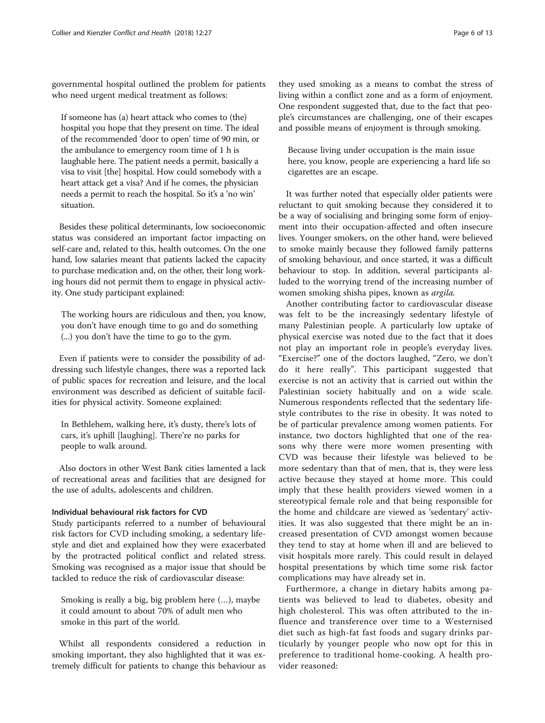governmental hospital outlined the problem for patients who need urgent medical treatment as follows:

If someone has (a) heart attack who comes to (the) hospital you hope that they present on time. The ideal of the recommended 'door to open' time of 90 min, or the ambulance to emergency room time of 1 h is laughable here. The patient needs a permit, basically a visa to visit [the] hospital. How could somebody with a heart attack get a visa? And if he comes, the physician needs a permit to reach the hospital. So it's a 'no win' situation.

Besides these political determinants, low socioeconomic status was considered an important factor impacting on self-care and, related to this, health outcomes. On the one hand, low salaries meant that patients lacked the capacity to purchase medication and, on the other, their long working hours did not permit them to engage in physical activity. One study participant explained:

The working hours are ridiculous and then, you know, you don't have enough time to go and do something (...) you don't have the time to go to the gym.

Even if patients were to consider the possibility of addressing such lifestyle changes, there was a reported lack of public spaces for recreation and leisure, and the local environment was described as deficient of suitable facilities for physical activity. Someone explained:

In Bethlehem, walking here, it's dusty, there's lots of cars, it's uphill [laughing]. There're no parks for people to walk around.

Also doctors in other West Bank cities lamented a lack of recreational areas and facilities that are designed for the use of adults, adolescents and children.

# Individual behavioural risk factors for CVD

Study participants referred to a number of behavioural risk factors for CVD including smoking, a sedentary lifestyle and diet and explained how they were exacerbated by the protracted political conflict and related stress. Smoking was recognised as a major issue that should be tackled to reduce the risk of cardiovascular disease:

Smoking is really a big, big problem here (…), maybe it could amount to about 70% of adult men who smoke in this part of the world.

Whilst all respondents considered a reduction in smoking important, they also highlighted that it was extremely difficult for patients to change this behaviour as

they used smoking as a means to combat the stress of living within a conflict zone and as a form of enjoyment. One respondent suggested that, due to the fact that people's circumstances are challenging, one of their escapes and possible means of enjoyment is through smoking.

Because living under occupation is the main issue here, you know, people are experiencing a hard life so cigarettes are an escape.

It was further noted that especially older patients were reluctant to quit smoking because they considered it to be a way of socialising and bringing some form of enjoyment into their occupation-affected and often insecure lives. Younger smokers, on the other hand, were believed to smoke mainly because they followed family patterns of smoking behaviour, and once started, it was a difficult behaviour to stop. In addition, several participants alluded to the worrying trend of the increasing number of women smoking shisha pipes, known as argila.

Another contributing factor to cardiovascular disease was felt to be the increasingly sedentary lifestyle of many Palestinian people. A particularly low uptake of physical exercise was noted due to the fact that it does not play an important role in people's everyday lives. "Exercise?" one of the doctors laughed, "Zero, we don't do it here really". This participant suggested that exercise is not an activity that is carried out within the Palestinian society habitually and on a wide scale. Numerous respondents reflected that the sedentary lifestyle contributes to the rise in obesity. It was noted to be of particular prevalence among women patients. For instance, two doctors highlighted that one of the reasons why there were more women presenting with CVD was because their lifestyle was believed to be more sedentary than that of men, that is, they were less active because they stayed at home more. This could imply that these health providers viewed women in a stereotypical female role and that being responsible for the home and childcare are viewed as 'sedentary' activities. It was also suggested that there might be an increased presentation of CVD amongst women because they tend to stay at home when ill and are believed to visit hospitals more rarely. This could result in delayed hospital presentations by which time some risk factor complications may have already set in.

Furthermore, a change in dietary habits among patients was believed to lead to diabetes, obesity and high cholesterol. This was often attributed to the influence and transference over time to a Westernised diet such as high-fat fast foods and sugary drinks particularly by younger people who now opt for this in preference to traditional home-cooking. A health provider reasoned: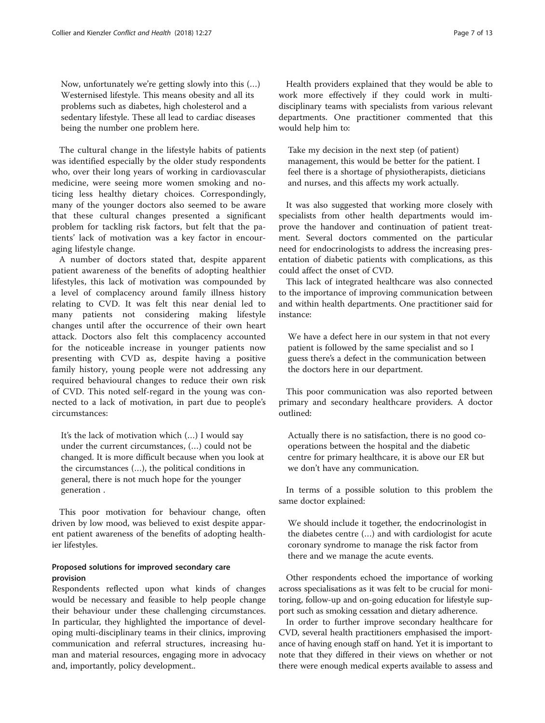Now, unfortunately we're getting slowly into this (…) Westernised lifestyle. This means obesity and all its problems such as diabetes, high cholesterol and a sedentary lifestyle. These all lead to cardiac diseases being the number one problem here.

The cultural change in the lifestyle habits of patients was identified especially by the older study respondents who, over their long years of working in cardiovascular medicine, were seeing more women smoking and noticing less healthy dietary choices. Correspondingly, many of the younger doctors also seemed to be aware that these cultural changes presented a significant problem for tackling risk factors, but felt that the patients' lack of motivation was a key factor in encouraging lifestyle change.

A number of doctors stated that, despite apparent patient awareness of the benefits of adopting healthier lifestyles, this lack of motivation was compounded by a level of complacency around family illness history relating to CVD. It was felt this near denial led to many patients not considering making lifestyle changes until after the occurrence of their own heart attack. Doctors also felt this complacency accounted for the noticeable increase in younger patients now presenting with CVD as, despite having a positive family history, young people were not addressing any required behavioural changes to reduce their own risk of CVD. This noted self-regard in the young was connected to a lack of motivation, in part due to people's circumstances:

It's the lack of motivation which (…) I would say under the current circumstances, (…) could not be changed. It is more difficult because when you look at the circumstances (…), the political conditions in general, there is not much hope for the younger generation .

This poor motivation for behaviour change, often driven by low mood, was believed to exist despite apparent patient awareness of the benefits of adopting healthier lifestyles.

# Proposed solutions for improved secondary care provision

Respondents reflected upon what kinds of changes would be necessary and feasible to help people change their behaviour under these challenging circumstances. In particular, they highlighted the importance of developing multi-disciplinary teams in their clinics, improving communication and referral structures, increasing human and material resources, engaging more in advocacy and, importantly, policy development..

Health providers explained that they would be able to work more effectively if they could work in multidisciplinary teams with specialists from various relevant departments. One practitioner commented that this would help him to:

Take my decision in the next step (of patient) management, this would be better for the patient. I feel there is a shortage of physiotherapists, dieticians and nurses, and this affects my work actually.

It was also suggested that working more closely with specialists from other health departments would improve the handover and continuation of patient treatment. Several doctors commented on the particular need for endocrinologists to address the increasing presentation of diabetic patients with complications, as this could affect the onset of CVD.

This lack of integrated healthcare was also connected to the importance of improving communication between and within health departments. One practitioner said for instance:

We have a defect here in our system in that not every patient is followed by the same specialist and so I guess there's a defect in the communication between the doctors here in our department.

This poor communication was also reported between primary and secondary healthcare providers. A doctor outlined:

Actually there is no satisfaction, there is no good cooperations between the hospital and the diabetic centre for primary healthcare, it is above our ER but we don't have any communication.

In terms of a possible solution to this problem the same doctor explained:

We should include it together, the endocrinologist in the diabetes centre (…) and with cardiologist for acute coronary syndrome to manage the risk factor from there and we manage the acute events.

Other respondents echoed the importance of working across specialisations as it was felt to be crucial for monitoring, follow-up and on-going education for lifestyle support such as smoking cessation and dietary adherence.

In order to further improve secondary healthcare for CVD, several health practitioners emphasised the importance of having enough staff on hand. Yet it is important to note that they differed in their views on whether or not there were enough medical experts available to assess and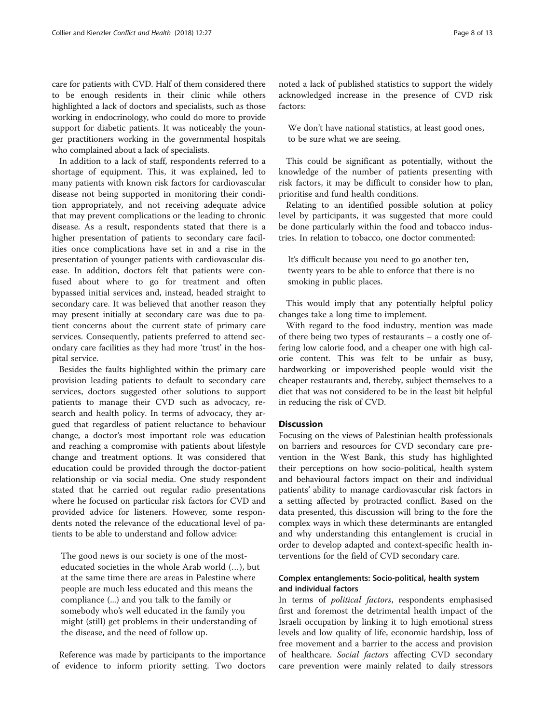care for patients with CVD. Half of them considered there to be enough residents in their clinic while others highlighted a lack of doctors and specialists, such as those working in endocrinology, who could do more to provide support for diabetic patients. It was noticeably the younger practitioners working in the governmental hospitals who complained about a lack of specialists.

In addition to a lack of staff, respondents referred to a shortage of equipment. This, it was explained, led to many patients with known risk factors for cardiovascular disease not being supported in monitoring their condition appropriately, and not receiving adequate advice that may prevent complications or the leading to chronic disease. As a result, respondents stated that there is a higher presentation of patients to secondary care facilities once complications have set in and a rise in the presentation of younger patients with cardiovascular disease. In addition, doctors felt that patients were confused about where to go for treatment and often bypassed initial services and, instead, headed straight to secondary care. It was believed that another reason they may present initially at secondary care was due to patient concerns about the current state of primary care services. Consequently, patients preferred to attend secondary care facilities as they had more 'trust' in the hospital service.

Besides the faults highlighted within the primary care provision leading patients to default to secondary care services, doctors suggested other solutions to support patients to manage their CVD such as advocacy, research and health policy. In terms of advocacy, they argued that regardless of patient reluctance to behaviour change, a doctor's most important role was education and reaching a compromise with patients about lifestyle change and treatment options. It was considered that education could be provided through the doctor-patient relationship or via social media. One study respondent stated that he carried out regular radio presentations where he focused on particular risk factors for CVD and provided advice for listeners. However, some respondents noted the relevance of the educational level of patients to be able to understand and follow advice:

The good news is our society is one of the mosteducated societies in the whole Arab world (…), but at the same time there are areas in Palestine where people are much less educated and this means the compliance (...) and you talk to the family or somebody who's well educated in the family you might (still) get problems in their understanding of the disease, and the need of follow up.

Reference was made by participants to the importance of evidence to inform priority setting. Two doctors

noted a lack of published statistics to support the widely acknowledged increase in the presence of CVD risk factors:

We don't have national statistics, at least good ones, to be sure what we are seeing.

This could be significant as potentially, without the knowledge of the number of patients presenting with risk factors, it may be difficult to consider how to plan, prioritise and fund health conditions.

Relating to an identified possible solution at policy level by participants, it was suggested that more could be done particularly within the food and tobacco industries. In relation to tobacco, one doctor commented:

It's difficult because you need to go another ten, twenty years to be able to enforce that there is no smoking in public places.

This would imply that any potentially helpful policy changes take a long time to implement.

With regard to the food industry, mention was made of there being two types of restaurants – a costly one offering low calorie food, and a cheaper one with high calorie content. This was felt to be unfair as busy, hardworking or impoverished people would visit the cheaper restaurants and, thereby, subject themselves to a diet that was not considered to be in the least bit helpful in reducing the risk of CVD.

# **Discussion**

Focusing on the views of Palestinian health professionals on barriers and resources for CVD secondary care prevention in the West Bank, this study has highlighted their perceptions on how socio-political, health system and behavioural factors impact on their and individual patients' ability to manage cardiovascular risk factors in a setting affected by protracted conflict. Based on the data presented, this discussion will bring to the fore the complex ways in which these determinants are entangled and why understanding this entanglement is crucial in order to develop adapted and context-specific health interventions for the field of CVD secondary care.

# Complex entanglements: Socio-political, health system and individual factors

In terms of *political factors*, respondents emphasised first and foremost the detrimental health impact of the Israeli occupation by linking it to high emotional stress levels and low quality of life, economic hardship, loss of free movement and a barrier to the access and provision of healthcare. Social factors affecting CVD secondary care prevention were mainly related to daily stressors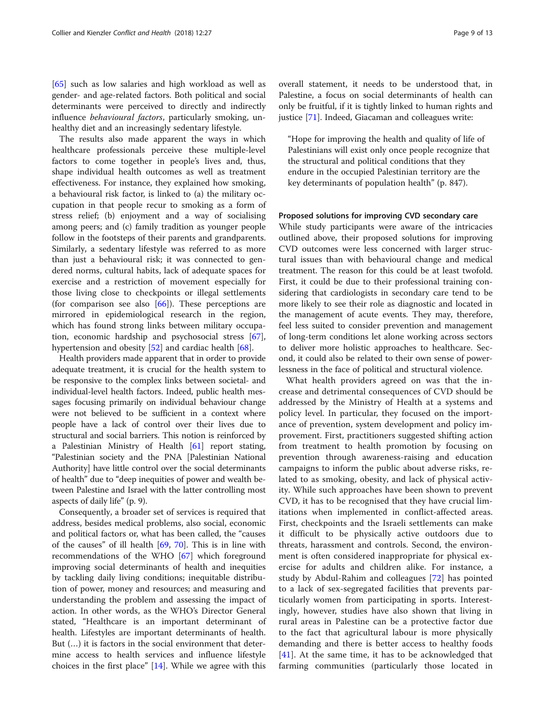[[65\]](#page-11-0) such as low salaries and high workload as well as gender- and age-related factors. Both political and social determinants were perceived to directly and indirectly influence *behavioural factors*, particularly smoking, unhealthy diet and an increasingly sedentary lifestyle.

The results also made apparent the ways in which healthcare professionals perceive these multiple-level factors to come together in people's lives and, thus, shape individual health outcomes as well as treatment effectiveness. For instance, they explained how smoking, a behavioural risk factor, is linked to (a) the military occupation in that people recur to smoking as a form of stress relief; (b) enjoyment and a way of socialising among peers; and (c) family tradition as younger people follow in the footsteps of their parents and grandparents. Similarly, a sedentary lifestyle was referred to as more than just a behavioural risk; it was connected to gendered norms, cultural habits, lack of adequate spaces for exercise and a restriction of movement especially for those living close to checkpoints or illegal settlements (for comparison see also  $[66]$ ). These perceptions are mirrored in epidemiological research in the region, which has found strong links between military occupation, economic hardship and psychosocial stress [\[67](#page-11-0)], hypertension and obesity [\[52\]](#page-11-0) and cardiac health [\[68](#page-11-0)].

Health providers made apparent that in order to provide adequate treatment, it is crucial for the health system to be responsive to the complex links between societal- and individual-level health factors. Indeed, public health messages focusing primarily on individual behaviour change were not believed to be sufficient in a context where people have a lack of control over their lives due to structural and social barriers. This notion is reinforced by a Palestinian Ministry of Health [\[61\]](#page-11-0) report stating, "Palestinian society and the PNA [Palestinian National Authority] have little control over the social determinants of health" due to "deep inequities of power and wealth between Palestine and Israel with the latter controlling most aspects of daily life" (p. 9).

Consequently, a broader set of services is required that address, besides medical problems, also social, economic and political factors or, what has been called, the "causes of the causes" of ill health [[69,](#page-11-0) [70](#page-12-0)]. This is in line with recommendations of the WHO [\[67](#page-11-0)] which foreground improving social determinants of health and inequities by tackling daily living conditions; inequitable distribution of power, money and resources; and measuring and understanding the problem and assessing the impact of action. In other words, as the WHO's Director General stated, "Healthcare is an important determinant of health. Lifestyles are important determinants of health. But (…) it is factors in the social environment that determine access to health services and influence lifestyle choices in the first place" [\[14](#page-10-0)]. While we agree with this

overall statement, it needs to be understood that, in Palestine, a focus on social determinants of health can only be fruitful, if it is tightly linked to human rights and justice [[71\]](#page-12-0). Indeed, Giacaman and colleagues write:

"Hope for improving the health and quality of life of Palestinians will exist only once people recognize that the structural and political conditions that they endure in the occupied Palestinian territory are the key determinants of population health" (p. 847).

#### Proposed solutions for improving CVD secondary care

While study participants were aware of the intricacies outlined above, their proposed solutions for improving CVD outcomes were less concerned with larger structural issues than with behavioural change and medical treatment. The reason for this could be at least twofold. First, it could be due to their professional training considering that cardiologists in secondary care tend to be more likely to see their role as diagnostic and located in the management of acute events. They may, therefore, feel less suited to consider prevention and management of long-term conditions let alone working across sectors to deliver more holistic approaches to healthcare. Second, it could also be related to their own sense of powerlessness in the face of political and structural violence.

What health providers agreed on was that the increase and detrimental consequences of CVD should be addressed by the Ministry of Health at a systems and policy level. In particular, they focused on the importance of prevention, system development and policy improvement. First, practitioners suggested shifting action from treatment to health promotion by focusing on prevention through awareness-raising and education campaigns to inform the public about adverse risks, related to as smoking, obesity, and lack of physical activity. While such approaches have been shown to prevent CVD, it has to be recognised that they have crucial limitations when implemented in conflict-affected areas. First, checkpoints and the Israeli settlements can make it difficult to be physically active outdoors due to threats, harassment and controls. Second, the environment is often considered inappropriate for physical exercise for adults and children alike. For instance, a study by Abdul-Rahim and colleagues [\[72](#page-12-0)] has pointed to a lack of sex-segregated facilities that prevents particularly women from participating in sports. Interestingly, however, studies have also shown that living in rural areas in Palestine can be a protective factor due to the fact that agricultural labour is more physically demanding and there is better access to healthy foods [[41\]](#page-11-0). At the same time, it has to be acknowledged that farming communities (particularly those located in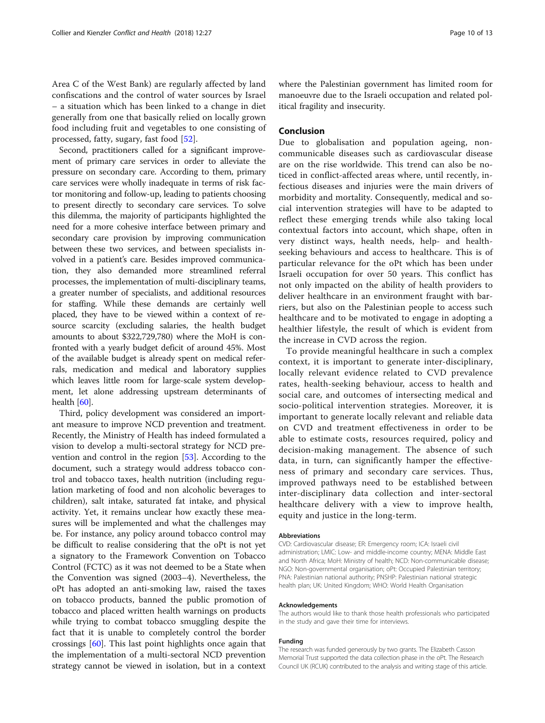Area C of the West Bank) are regularly affected by land confiscations and the control of water sources by Israel – a situation which has been linked to a change in diet generally from one that basically relied on locally grown food including fruit and vegetables to one consisting of processed, fatty, sugary, fast food [[52\]](#page-11-0).

Second, practitioners called for a significant improvement of primary care services in order to alleviate the pressure on secondary care. According to them, primary care services were wholly inadequate in terms of risk factor monitoring and follow-up, leading to patients choosing to present directly to secondary care services. To solve this dilemma, the majority of participants highlighted the need for a more cohesive interface between primary and secondary care provision by improving communication between these two services, and between specialists involved in a patient's care. Besides improved communication, they also demanded more streamlined referral processes, the implementation of multi-disciplinary teams, a greater number of specialists, and additional resources for staffing. While these demands are certainly well placed, they have to be viewed within a context of resource scarcity (excluding salaries, the health budget amounts to about \$322,729,780) where the MoH is confronted with a yearly budget deficit of around 45%. Most of the available budget is already spent on medical referrals, medication and medical and laboratory supplies which leaves little room for large-scale system development, let alone addressing upstream determinants of health [\[60\]](#page-11-0).

Third, policy development was considered an important measure to improve NCD prevention and treatment. Recently, the Ministry of Health has indeed formulated a vision to develop a multi-sectoral strategy for NCD prevention and control in the region [[53\]](#page-11-0). According to the document, such a strategy would address tobacco control and tobacco taxes, health nutrition (including regulation marketing of food and non alcoholic beverages to children), salt intake, saturated fat intake, and physical activity. Yet, it remains unclear how exactly these measures will be implemented and what the challenges may be. For instance, any policy around tobacco control may be difficult to realise considering that the oPt is not yet a signatory to the Framework Convention on Tobacco Control (FCTC) as it was not deemed to be a State when the Convention was signed (2003–4). Nevertheless, the oPt has adopted an anti-smoking law, raised the taxes on tobacco products, banned the public promotion of tobacco and placed written health warnings on products while trying to combat tobacco smuggling despite the fact that it is unable to completely control the border crossings [[60](#page-11-0)]. This last point highlights once again that the implementation of a multi-sectoral NCD prevention strategy cannot be viewed in isolation, but in a context where the Palestinian government has limited room for manoeuvre due to the Israeli occupation and related political fragility and insecurity.

# Conclusion

Due to globalisation and population ageing, noncommunicable diseases such as cardiovascular disease are on the rise worldwide. This trend can also be noticed in conflict-affected areas where, until recently, infectious diseases and injuries were the main drivers of morbidity and mortality. Consequently, medical and social intervention strategies will have to be adapted to reflect these emerging trends while also taking local contextual factors into account, which shape, often in very distinct ways, health needs, help- and healthseeking behaviours and access to healthcare. This is of particular relevance for the oPt which has been under Israeli occupation for over 50 years. This conflict has not only impacted on the ability of health providers to deliver healthcare in an environment fraught with barriers, but also on the Palestinian people to access such healthcare and to be motivated to engage in adopting a healthier lifestyle, the result of which is evident from the increase in CVD across the region.

To provide meaningful healthcare in such a complex context, it is important to generate inter-disciplinary, locally relevant evidence related to CVD prevalence rates, health-seeking behaviour, access to health and social care, and outcomes of intersecting medical and socio-political intervention strategies. Moreover, it is important to generate locally relevant and reliable data on CVD and treatment effectiveness in order to be able to estimate costs, resources required, policy and decision-making management. The absence of such data, in turn, can significantly hamper the effectiveness of primary and secondary care services. Thus, improved pathways need to be established between inter-disciplinary data collection and inter-sectoral healthcare delivery with a view to improve health, equity and justice in the long-term.

#### Abbreviations

CVD: Cardiovascular disease; ER: Emergency room; ICA: Israeli civil administration; LMIC: Low- and middle-income country; MENA: Middle East and North Africa; MoH: Ministry of health; NCD: Non-communicable disease; NGO: Non-governmental organisation; oPt: Occupied Palestinian territory; PNA: Palestinian national authority; PNSHP: Palestinian national strategic health plan; UK: United Kingdom; WHO: World Health Organisation

#### Acknowledgements

The authors would like to thank those health professionals who participated in the study and gave their time for interviews.

#### Funding

The research was funded generously by two grants. The Elizabeth Casson Memorial Trust supported the data collection phase in the oPt. The Research Council UK (RCUK) contributed to the analysis and writing stage of this article.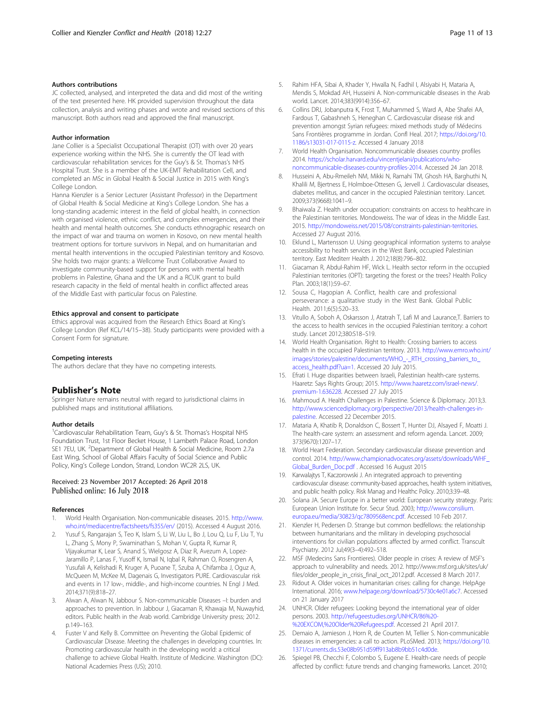#### <span id="page-10-0"></span>Authors contributions

JC collected, analysed, and interpreted the data and did most of the writing of the text presented here. HK provided supervision throughout the data collection, analysis and writing phases and wrote and revised sections of this manuscript. Both authors read and approved the final manuscript.

#### Author information

Jane Collier is a Specialist Occupational Therapist (OT) with over 20 years experience working within the NHS. She is currently the OT lead with cardiovascular rehabilitation services for the Guy's & St. Thomas's NHS Hospital Trust. She is a member of the UK-EMT Rehabilitation Cell, and completed an MSc in Global Health & Social Justice in 2015 with King's College London.

Hanna Kienzler is a Senior Lecturer (Assistant Professor) in the Department of Global Health & Social Medicine at King's College London. She has a long-standing academic interest in the field of global health, in connection with organised violence, ethnic conflict, and complex emergencies, and their health and mental health outcomes. She conducts ethnographic research on the impact of war and trauma on women in Kosovo, on new mental health treatment options for torture survivors in Nepal, and on humanitarian and mental health interventions in the occupied Palestinian territory and Kosovo. She holds two major grants: a Wellcome Trust Collaborative Award to investigate community-based support for persons with mental health problems in Palestine, Ghana and the UK and a RCUK grant to build research capacity in the field of mental health in conflict affected areas of the Middle East with particular focus on Palestine.

## Ethics approval and consent to participate

Ethics approval was acquired from the Research Ethics Board at King's College London (Ref KCL/14/15–38). Study participants were provided with a Consent Form for signature.

#### Competing interests

The authors declare that they have no competing interests.

#### Publisher's Note

Springer Nature remains neutral with regard to jurisdictional claims in published maps and institutional affiliations.

#### Author details

<sup>1</sup>Cardiovascular Rehabilitation Team, Guy's & St. Thomas's Hospital NHS Foundation Trust, 1st Floor Becket House, 1 Lambeth Palace Road, London SE1 7EU, UK. <sup>2</sup>Department of Global Health & Social Medicine, Room 2.7a East Wing, School of Global Affairs Faculty of Social Science and Public Policy, King's College London, Strand, London WC2R 2LS, UK.

# Received: 23 November 2017 Accepted: 26 April 2018 Published online: 16 July 2018

#### References

- 1. World Health Organisation. Non-communicable diseases. 2015. [http://www.](http://www.who.int/mediacentre/factsheets/fs355/en/) [who.int/mediacentre/factsheets/fs355/en/](http://www.who.int/mediacentre/factsheets/fs355/en/) (2015). Accessed 4 August 2016.
- 2. Yusuf S, Rangarajan S, Teo K, Islam S, Li W, Liu L, Bo J, Lou Q, Lu F, Liu T, Yu L, Zhang S, Mony P, Swaminathan S, Mohan V, Gupta R, Kumar R, Vijayakumar K, Lear S, Anand S, Wielgosz A, Diaz R, Avezum A, Lopez-Jaramillo P, Lanas F, Yusoff K, Ismail N, Iqbal R, Rahman O, Rosengren A, Yusufali A, Kelishadi R, Kruger A, Puoane T, Szuba A, Chifamba J, Oguz A, McQueen M, McKee M, Dagenais G, Investigators PURE. Cardiovascular risk and events in 17 low-, middle-, and high-income countries. N Engl J Med. 2014;371(9):818–27.
- 3. Alwan A, Alwan N, Jabbour S. Non-communicable Diseases –I: burden and approaches to prevention. In Jabbour J, Giacaman R, Khawaja M, Nuwayhid, editors. Public health in the Arab world. Cambridge University press; 2012. p.149–163.
- 4. Fuster V and Kelly B. Committee on Preventing the Global Epidemic of Cardiovascular Disease. Meeting the challenges in developing countries. In: Promoting cardiovascular health in the developing world: a critical challenge to achieve Global Health. Institute of Medicine. Washington (DC): National Academies Press (US); 2010.
- 6. Collins DRJ, Jobanputra K, Frost T, Muhammed S, Ward A, Abe Shafei AA, Fardous T, Gabashneh S, Heneghan C. Cardiovascular disease risk and prevention amongst Syrian refugees: mixed methods study of Médecins Sans Frontières programme in Jordan. Confl Heal. 2017; [https://doi.org/10.](https://doi.org/10.1186/s13031-017-0115-z) [1186/s13031-017-0115-z](https://doi.org/10.1186/s13031-017-0115-z). Accessed 4 January 2018
- 7. World Health Organisation. Noncommunicable diseases country profiles 2014. [https://scholar.harvard.edu/vincentjelani/publications/who](https://scholar.harvard.edu/vincentjelani/publications/who-noncommunicable-diseases-country-profiles-2014)[noncommunicable-diseases-country-profiles-2014.](https://scholar.harvard.edu/vincentjelani/publications/who-noncommunicable-diseases-country-profiles-2014) Accessed 24 Jan 2018.
- 8. Husseini A, Abu-Rmeileh NM, Mikki N, Ramahi TM, Ghosh HA, Barghuthi N, Khalili M, Bjertness E, Holmboe-Ottesen G, Jervell J. Cardiovascular diseases, diabetes mellitus, and cancer in the occupied Palestinian territory. Lancet. 2009;373(9668):1041–9.
- Bhaiwala Z. Health under occupation: constraints on access to healthcare in the Palestinian territories. Mondoweiss. The war of ideas in the Middle East. 2015. <http://mondoweiss.net/2015/08/constraints-palestinian-territories>. Accessed 27 August 2016.
- 10. Eklund L, Martensson U. Using geographical information systems to analyse accessibility to health services in the West Bank, occupied Palestinian territory. East Mediterr Health J. 2012;18(8):796–802.
- 11. Giacaman R, Abdul-Rahim HF, Wick L. Health sector reform in the occupied Palestinian territories (OPT): targeting the forest or the trees? Health Policy Plan. 2003;18(1):59–67.
- 12. Sousa C, Hagopian A. Conflict, health care and professional perseverance: a qualitative study in the West Bank. Global Public Health. 2011;6(5):520–33.
- 13. Vitullo A, Soboh A, Oskarsson J, Atatrah T, Lafi M and Laurance,T. Barriers to the access to health services in the occupied Palestinian territory: a cohort study. Lancet 2012;380:S18–S19.
- 14. World Health Organisation. Right to Health: Crossing barriers to access health in the occupied Palestinian territory. 2013. [http://www.emro.who.int/](http://www.emro.who.int/images/stories/palestine/documents/WHO_-_RTH_crossing_barriers_to_access_health.pdf?ua=1) [images/stories/palestine/documents/WHO\\_-\\_RTH\\_crossing\\_barriers\\_to\\_](http://www.emro.who.int/images/stories/palestine/documents/WHO_-_RTH_crossing_barriers_to_access_health.pdf?ua=1) [access\\_health.pdf?ua=1](http://www.emro.who.int/images/stories/palestine/documents/WHO_-_RTH_crossing_barriers_to_access_health.pdf?ua=1). Accessed 20 July 2015.
- 15. Efrati I. Huge disparities between Israeli, Palestinian health-care systems. Haaretz: Says Rights Group; 2015. [http://www.haaretz.com/israel-news/.](http://www.haaretz.com/israel-news/.premium-1.636228) [premium-1.636228.](http://www.haaretz.com/israel-news/.premium-1.636228) Accessed 27 July 2015
- 16. Mahmoud A. Health Challenges in Palestine. Science & Diplomacy. 2013;3. [http://www.sciencediplomacy.org/perspective/2013/health-challenges-in](http://www.sciencediplomacy.org/perspective/2013/health-challenges-in-palestine)[palestine](http://www.sciencediplomacy.org/perspective/2013/health-challenges-in-palestine). Accessed 22 December 2015.
- 17. Mataria A, Khatib R, Donaldson C, Bossert T, Hunter DJ, Alsayed F, Moatti J. The health-care system: an assessment and reform agenda. Lancet. 2009; 373(9670):1207–17.
- 18. World Heart Federation. Secondary cardiovascular disease prevention and control. 2014. [http://www.championadvocates.org/assets/downloads/WHF\\_](http://www.championadvocates.org/assets/downloads/WHF_Global_Burden_Doc.pdf) [Global\\_Burden\\_Doc.pdf](http://www.championadvocates.org/assets/downloads/WHF_Global_Burden_Doc.pdf) . Accessed 16 August 2015
- 19. Karwalajtys T, Kaczorowski J. An integrated approach to preventing cardiovascular disease: community-based approaches, health system initiatives, and public health policy. Risk Manag and Healthc Policy. 2010;3:39–48.
- 20. Solana JA. Secure Europe in a better world: European security strategy. Paris: European Union Institute for. Secur Stud. 2003; [http://www.consilium.](http://www.consilium.europa.eu/media/30823/qc7809568enc.pdf) [europa.eu/media/30823/qc7809568enc.pdf](http://www.consilium.europa.eu/media/30823/qc7809568enc.pdf). Accessed 10 Feb 2017.
- 21. Kienzler H, Pedersen D. Strange but common bedfellows: the relationship between humanitarians and the military in developing psychosocial interventions for civilian populations affected by armed conflict. Transcult Psychiatry. 2012 Jul;49(3–4):492–518.
- 22. MSF (Medecins Sans Frontieres). Older people in crises: A review of MSF's approach to vulnerability and needs. 2012. http://www.msf.org.uk/sites/uk/ files/older\_people\_in\_crisis\_final\_oct\_2012.pdf. Accessed 8 March 2017.
- 23. Ridout A. Older voices in humanitarian crises: calling for change. HelpAge International. 2016; [www.helpage.org/download/5730c4e01a6c7.](http://www.helpage.org/download/5730c4e01a6c7) Accessed on 21 January 2017
- 24. UNHCR. Older refugees: Looking beyond the international year of older persons. 2003. [http://refugeestudies.org/UNHCR/86%20-](http://refugeestudies.org/UNHCR/86%20-%20EXCOM,%20Older%20Refugees.pdf) [%20EXCOM,%20Older%20Refugees.pdf](http://refugeestudies.org/UNHCR/86%20-%20EXCOM,%20Older%20Refugees.pdf). Accessed 21 April 2017.
- 25. Demaio A, Jamieson J, Horn R, de Courten M, Tellier S. Non-communicable diseases in emergencies: a call to action. PLoSMed. 2013; [https://doi.org/10.](https://doi.org/10.1371/currents.dis.53e08b951d59ff913ab8b9bb51c4d0de) [1371/currents.dis.53e08b951d59ff913ab8b9bb51c4d0de](https://doi.org/10.1371/currents.dis.53e08b951d59ff913ab8b9bb51c4d0de).
- 26. Spiegel PB, Checchi F, Colombo S, Eugene E. Health-care needs of people affected by conflict: future trends and changing frameworks. Lancet. 2010;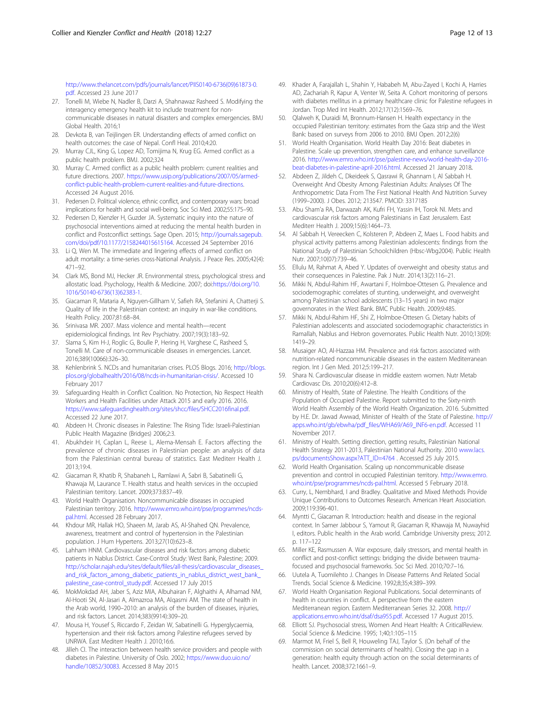<span id="page-11-0"></span>[http://www.thelancet.com/pdfs/journals/lancet/PIIS0140-6736\(09\)61873-0.](http://www.thelancet.com/pdfs/journals/lancet/PIIS0140-6736(09)61873-0.pdf) [pdf](http://www.thelancet.com/pdfs/journals/lancet/PIIS0140-6736(09)61873-0.pdf). Accessed 23 June 2017

- 27. Tonelli M, Wiebe N, Nadler B, Darzi A, Shahnawaz Rasheed S. Modifying the interagency emergency health kit to include treatment for noncommunicable diseases in natural disasters and complex emergencies. BMJ Global Health. 2016;1
- 28. Devkota B, van Teijlingen ER. Understanding effects of armed conflict on health outcomes: the case of Nepal. Confl Heal. 2010;4:20.
- 29. Murray CJL, King G, Lopez AD, Tomijima N, Krug EG. Armed conflict as a public health problem. BMJ. 2002;324
- 30. Murray C. Armed conflict as a public health problem: current realities and future directions. 2007. [https://www.usip.org/publications/2007/05/armed](https://www.usip.org/publications/2007/05/armed-conflict-public-health-problem-current-realities-and-future-directions)[conflict-public-health-problem-current-realities-and-future-directions.](https://www.usip.org/publications/2007/05/armed-conflict-public-health-problem-current-realities-and-future-directions) Accessed 24 August 2016.
- 31. Pedersen D. Political violence, ethnic conflict, and contemporary wars: broad implications for health and social well-being. Soc Sci Med. 2002;55:175–90.
- 32. Pedersen D, Kienzler H, Guzder JA. Systematic inquiry into the nature of psychosocial interventions aimed at reducing the mental health burden in conflict and Postconflict settings. Sage Open. 2015; [http://journals.sagepub.](http://journals.sagepub.com/doi/pdf/10.1177/2158244015615164) [com/doi/pdf/10.1177/2158244015615164](http://journals.sagepub.com/doi/pdf/10.1177/2158244015615164). Accessed 24 September 2016
- 33. Li Q, Wen M. The immediate and lingering effects of armed conflict on adult mortality: a time-series cross-National Analysis. J Peace Res. 2005;42(4): 471–92.
- 34. Clark MS, Bond MJ, Hecker JR. Environmental stress, psychological stress and allostatic load. Psychology, Health & Medicine. 2007; doi:[https://doi.org/10.](https://doi.org/10.1016/S0140-6736(13)62383-1) [1016/S0140-6736\(13\)62383-1.](https://doi.org/10.1016/S0140-6736(13)62383-1)
- 35. Giacaman R, Mataria A, Nguyen-Gillham V, Safieh RA, Stefanini A, Chatterji S. Quality of life in the Palestinian context: an inquiry in war-like conditions. Health Policy. 2007;81:68–84.
- 36. Srinivasa MR. 2007. Mass violence and mental health—recent epidemiological findings. Int Rev Psychiatry. 2007;19(3):183–92.
- 37. Slama S, Kim H-J, Roglic G, Boulle P, Hering H, Varghese C, Rasheed S, Tonelli M. Care of non-communicable diseases in emergencies. Lancet. 2016;389(10066):326–30.
- 38. Kehlenbrink S. NCDs and humanitarian crises. PLOS Blogs. 2016; [http://blogs.](http://blogs.plos.org/globalhealth/2016/08/ncds-in-humanitarian-crisis/) [plos.org/globalhealth/2016/08/ncds-in-humanitarian-crisis/](http://blogs.plos.org/globalhealth/2016/08/ncds-in-humanitarian-crisis/). Accessed 10 February 2017
- 39. Safeguarding Health in Conflict Coalition. No Protection, No Respect Health Workers and Health Facilities under Attack 2015 and early 2016. 2016. [https://www.safeguardinghealth.org/sites/shcc/files/SHCC2016final.pdf.](https://www.safeguardinghealth.org/sites/shcc/files/SHCC2016final.pdf) Accessed 22 June 2017.
- 40. Abdeen H. Chronic diseases in Palestine: The Rising Tide: Israeli-Palestinian Public Health Magazine (Bridges) 2006;2:3.
- 41. Abukhdeir H, Caplan L, Reese L, Alema-Mensah E. Factors affecting the prevalence of chronic diseases in Palestinian people: an analysis of data from the Palestinian central bureau of statistics. East Mediterr Health J. 2013;19:4.
- 42. Giacaman R, Khatib R, Shabaneh L, Ramlawi A, Sabri B, Sabatinelli G, Khawaja M, Laurance T. Health status and health services in the occupied Palestinian territory. Lancet. 2009;373:837–49.
- 43. World Health Organisation. Noncommunicable diseases in occupied Palestinian territory. 2016. [http://www.emro.who.int/pse/programmes/ncds](http://www.emro.who.int/pse/programmes/ncds-pal.html)[pal.html.](http://www.emro.who.int/pse/programmes/ncds-pal.html) Accessed 28 February 2017.
- Khdour MR, Hallak HO, Shaeen M, Jarab AS, Al-Shahed QN. Prevalence, awareness, treatment and control of hypertension in the Palestinian population. J Hum Hypertens. 2013;27(10):623–8.
- 45. Lahham HNM. Cardiovascular diseases and risk factors among diabetic patients in Nablus District. Case-Control Study: West Bank, Palestine; 2009. [http://scholar.najah.edu/sites/default/files/all-thesis/cardiovascular\\_diseases\\_](http://scholar.najah.edu/sites/default/files/all-thesis/cardiovascular_diseases_and_risk_factors_among_diabetic_patients_in_nablus_district_west_bank_palestine_case-control_study.pdf) [and\\_risk\\_factors\\_among\\_diabetic\\_patients\\_in\\_nablus\\_district\\_west\\_bank\\_](http://scholar.najah.edu/sites/default/files/all-thesis/cardiovascular_diseases_and_risk_factors_among_diabetic_patients_in_nablus_district_west_bank_palestine_case-control_study.pdf) [palestine\\_case-control\\_study.pdf.](http://scholar.najah.edu/sites/default/files/all-thesis/cardiovascular_diseases_and_risk_factors_among_diabetic_patients_in_nablus_district_west_bank_palestine_case-control_study.pdf) Accessed 17 July 2015
- 46. MokMokdad AH, Jaber S, Aziz MIA, Albuhairan F, Alghaithi A, Alhamad NM, Al-Hooti SN, Al-Jasari A, Almazroa MA, Alqasmi AM. The state of health in the Arab world, 1990–2010: an analysis of the burden of diseases, injuries, and risk factors. Lancet. 2014;383(9914):309–20.
- 47. Mousa H, Yousef S, Riccardo F, Zeidan W, Sabatinelli G. Hyperglycaemia, hypertension and their risk factors among Palestine refugees served by UNRWA. East Mediterr Health J. 2010;16:6.
- 48. Jilleh CI. The interaction between health service providers and people with diabetes in Palestine. University of Oslo. 2002; [https://www.duo.uio.no/](https://www.duo.uio.no/handle/10852/30083) [handle/10852/30083](https://www.duo.uio.no/handle/10852/30083). Accessed 8 May 2015
- 49. Khader A, Farajallah L, Shahin Y, Hababeh M, Abu-Zayed I, Kochi A, Harries AD, Zachariah R, Kapur A, Venter W, Seita A. Cohort monitoring of persons with diabetes mellitus in a primary healthcare clinic for Palestine refugees in Jordan. Trop Med Int Health. 2012;17(12):1569–76.
- 50. Qlalweh K, Duraidi M, Bronnum-Hansen H. Health expectancy in the occupied Palestinian territory: estimates from the Gaza strip and the West Bank: based on surveys from 2006 to 2010. BMJ Open. 2012;2(6)
- 51. World Health Organisation. World Health Day 2016: Beat diabetes in Palestine. Scale up prevention, strengthen care, and enhance surveillance 2016. [http://www.emro.who.int/pse/palestine-news/world-health-day-2016](http://www.emro.who.int/pse/palestine-news/world-health-day-2016-beat-diabetes-in-palestine-april-2016.html) [beat-diabetes-in-palestine-april-2016.html](http://www.emro.who.int/pse/palestine-news/world-health-day-2016-beat-diabetes-in-palestine-april-2016.html). Accessed 21 January 2018.
- 52. Abdeen Z, Jildeh C, Dkeideek S, Qasrawi R, Ghannam I, Al Sabbah H. Overweight And Obesity Among Palestinian Adults: Analyses Of The Anthropometric Data From The First National Health And Nutrition Survey (1999–2000). J Obes. 2012; 213547. PMCID: 3317185
- 53. Abu Sham'a RA, Darwazah AK, Kufri FH, Yassin IH, Torok NI. Mets and cardiovascular risk factors among Palestinians in East Jerusalem. East Mediterr Health J. 2009;15(6):1464–73.
- 54. Al Sabbah H, Vereecken C, Kolsteren P, Abdeen Z, Maes L. Food habits and physical activity patterns among Palestinian adolescents: findings from the National Study of Palestinian Schoolchildren (Hbsc-Wbg2004). Public Health Nutr. 2007;10(07):739–46.
- 55. Ellulu M, Rahmat A, Abed Y. Updates of overweight and obesity status and their consequences in Palestine. Pak J Nutr. 2014;13(2):116–21.
- 56. Mikki N, Abdul-Rahim HF, Awartani F, Holmboe-Ottesen G. Prevalence and sociodemographic correlates of stunting, underweight, and overweight among Palestinian school adolescents (13–15 years) in two major governorates in the West Bank. BMC Public Health. 2009;9:485.
- 57. Mikki N, Abdul-Rahim HF, Shi Z, Holmboe-Ottesen G. Dietary habits of Palestinian adolescents and associated sociodemographic characteristics in Ramallah, Nablus and Hebron governorates. Public Health Nutr. 2010;13(09): 1419–29.
- 58. Musaiger AO, Al-Hazzaa HM. Prevalence and risk factors associated with nutrition-related noncommunicable diseases in the eastern Mediterranean region. Int J Gen Med. 2012;5:199–217.
- 59. Shara N. Cardiovascular disease in middle eastern women. Nutr Metab Cardiovasc Dis. 2010;20(6):412–8.
- 60. Ministry of Health, State of Palestine. The Health Conditions of the Population of Occupied Palestine. Report submitted to the Sixty-ninth World Health Assembly of the World Health Organization. 2016. Submitted by H.E. Dr. Jawad Awwad, Minister of Health of the State of Palestine. [http://](http://apps.who.int/gb/ebwha/pdf_files/WHA69/A69_INF6-en.pdf) [apps.who.int/gb/ebwha/pdf\\_files/WHA69/A69\\_INF6-en.pdf](http://apps.who.int/gb/ebwha/pdf_files/WHA69/A69_INF6-en.pdf). Accessed 11 November 2017.
- 61. Ministry of Health. Setting direction, getting results, Palestinian National Health Strategy 2011-2013, Palestinian National Authority. 2010 [www.lacs.](http://www.lacs.ps/documentsShow.aspx?ATT_ID=4764) [ps/documentsShow.aspx?ATT\\_ID=4764](http://www.lacs.ps/documentsShow.aspx?ATT_ID=4764) . Accessed 25 July 2015.
- 62. World Health Organisation. Scaling up noncommunicable disease prevention and control in occupied Palestinian territory. [http://www.emro.](http://www.emro.who.int/pse/programmes/ncds-pal.html) [who.int/pse/programmes/ncds-pal.html](http://www.emro.who.int/pse/programmes/ncds-pal.html). Accessed 5 February 2018.
- 63. Curry, L, Nembhard, I and Bradley. Qualitative and Mixed Methods Provide Unique Contributions to Outcomes Research. American Heart Association. 2009;119:396-401.
- 64. Myntti C, Giacaman R. Introduction: health and disease in the regional context. In Samer Jabbour S, Yamout R, Giacaman R, Khawaja M, Nuwayhid I, editors. Public health in the Arab world. Cambridge University press; 2012. p. 117–122
- 65. Miller KE, Rasmussen A. War exposure, daily stressors, and mental health in conflict and post-conflict settings: bridging the divide between traumafocused and psychosocial frameworks. Soc Sci Med. 2010;70:7–16.
- 66. Uutela A, Tuomilehto J. Changes In Disease Patterns And Related Social Trends. Social Science & Medicine. 1992;8;35;4:389–399.
- 67. World Health Organisation Regional Publications. Social determinants of health in countries in conflict. A perspective from the eastern Mediterranean region. Eastern Mediterranean Series 32. 2008. [http://](http://applications.emro.who.int/dsaf/dsa955.pdf) [applications.emro.who.int/dsaf/dsa955.pdf](http://applications.emro.who.int/dsaf/dsa955.pdf). Accessed 17 August 2015.
- 68. Elliott SJ. Psychosocial stress, Women And Heart Health: A CriticalReview. Social Science & Medicine. 1995; 1;40;1:105–115
- 69. Marmot M, Friel S, Bell R, Houweling TAJ, Taylor S. (On behalf of the commission on social determinants of health). Closing the gap in a generation: health equity through action on the social determinants of health. Lancet. 2008;372:1661–9.